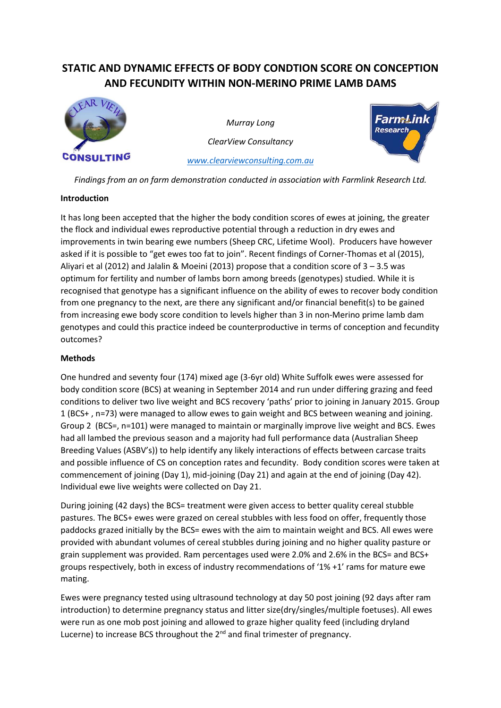# **STATIC AND DYNAMIC EFFECTS OF BODY CONDTION SCORE ON CONCEPTION AND FECUNDITY WITHIN NON-MERINO PRIME LAMB DAMS**



*Murray Long ClearView Consultancy*



*Findings from an on farm demonstration conducted in association with Farmlink Research Ltd.*

*[www.clearviewconsulting.com.au](http://www.clearviewconsulting.com.au/)*

# **Introduction**

It has long been accepted that the higher the body condition scores of ewes at joining, the greater the flock and individual ewes reproductive potential through a reduction in dry ewes and improvements in twin bearing ewe numbers (Sheep CRC, Lifetime Wool). Producers have however asked if it is possible to "get ewes too fat to join". Recent findings of Corner-Thomas et al (2015), Aliyari et al (2012) and Jalalin & Moeini (2013) propose that a condition score of 3 – 3.5 was optimum for fertility and number of lambs born among breeds (genotypes) studied. While it is recognised that genotype has a significant influence on the ability of ewes to recover body condition from one pregnancy to the next, are there any significant and/or financial benefit(s) to be gained from increasing ewe body score condition to levels higher than 3 in non-Merino prime lamb dam genotypes and could this practice indeed be counterproductive in terms of conception and fecundity outcomes?

# **Methods**

One hundred and seventy four (174) mixed age (3-6yr old) White Suffolk ewes were assessed for body condition score (BCS) at weaning in September 2014 and run under differing grazing and feed conditions to deliver two live weight and BCS recovery 'paths' prior to joining in January 2015. Group 1 (BCS+ , n=73) were managed to allow ewes to gain weight and BCS between weaning and joining. Group 2 (BCS=, n=101) were managed to maintain or marginally improve live weight and BCS. Ewes had all lambed the previous season and a majority had full performance data (Australian Sheep Breeding Values (ASBV's)) to help identify any likely interactions of effects between carcase traits and possible influence of CS on conception rates and fecundity. Body condition scores were taken at commencement of joining (Day 1), mid-joining (Day 21) and again at the end of joining (Day 42). Individual ewe live weights were collected on Day 21.

During joining (42 days) the BCS= treatment were given access to better quality cereal stubble pastures. The BCS+ ewes were grazed on cereal stubbles with less food on offer, frequently those paddocks grazed initially by the BCS= ewes with the aim to maintain weight and BCS. All ewes were provided with abundant volumes of cereal stubbles during joining and no higher quality pasture or grain supplement was provided. Ram percentages used were 2.0% and 2.6% in the BCS= and BCS+ groups respectively, both in excess of industry recommendations of '1% +1' rams for mature ewe mating.

Ewes were pregnancy tested using ultrasound technology at day 50 post joining (92 days after ram introduction) to determine pregnancy status and litter size(dry/singles/multiple foetuses). All ewes were run as one mob post joining and allowed to graze higher quality feed (including dryland Lucerne) to increase BCS throughout the 2<sup>nd</sup> and final trimester of pregnancy.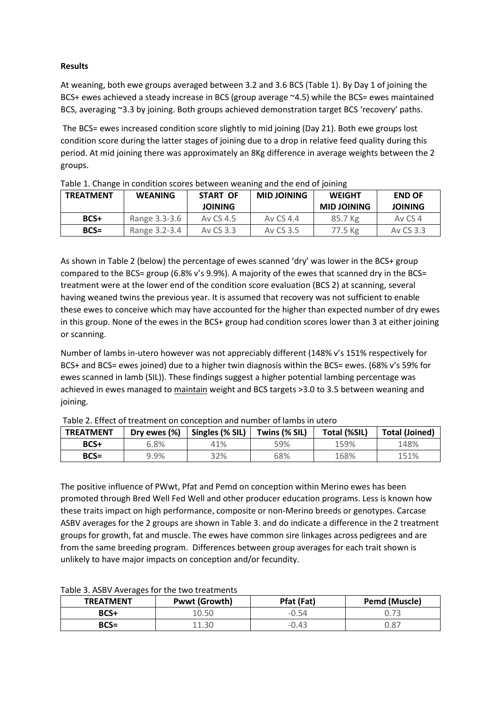## **Results**

At weaning, both ewe groups averaged between 3.2 and 3.6 BCS (Table 1). By Day 1 of joining the BCS+ ewes achieved a steady increase in BCS (group average ~4.5) while the BCS= ewes maintained BCS, averaging ~3.3 by joining. Both groups achieved demonstration target BCS 'recovery' paths.

The BCS= ewes increased condition score slightly to mid joining (Day 21). Both ewe groups lost condition score during the latter stages of joining due to a drop in relative feed quality during this period. At mid joining there was approximately an 8Kg difference in average weights between the 2 groups.

| <b>TREATMENT</b> | <b>Table 1: Change in condition scores between wearing and the end or joining</b><br><b>WEANING</b> | START OF<br><b>JOINING</b> | <b>MID JOINING</b> | <b>WEIGHT</b><br><b>MID JOINING</b> | <b>END OF</b><br><b>JOINING</b> |
|------------------|-----------------------------------------------------------------------------------------------------|----------------------------|--------------------|-------------------------------------|---------------------------------|
| BCS+             | Range 3.3-3.6                                                                                       | Ay CS 4.5                  | Ay CS 4.4          | 85.7 Kg                             | Av CS 4                         |
| $BCS =$          | Range 3.2-3.4                                                                                       | Ay CS 3.3                  | Av CS 3.5          | 77.5 Kg                             | Av CS 3.3                       |

| Table 1. Change in condition scores between weaning and the end of joining |  |  |  |
|----------------------------------------------------------------------------|--|--|--|
|                                                                            |  |  |  |

As shown in Table 2 (below) the percentage of ewes scanned 'dry' was lower in the BCS+ group compared to the BCS= group (6.8% v's 9.9%). A majority of the ewes that scanned dry in the BCS= treatment were at the lower end of the condition score evaluation (BCS 2) at scanning, several having weaned twins the previous year. It is assumed that recovery was not sufficient to enable these ewes to conceive which may have accounted for the higher than expected number of dry ewes in this group. None of the ewes in the BCS+ group had condition scores lower than 3 at either joining or scanning.

Number of lambs in-utero however was not appreciably different (148% v's 151% respectively for BCS+ and BCS= ewes joined) due to a higher twin diagnosis within the BCS= ewes. (68% v's 59% for ewes scanned in lamb (SIL)). These findings suggest a higher potential lambing percentage was achieved in ewes managed to maintain weight and BCS targets >3.0 to 3.5 between weaning and joining.

| <b>TREATMENT</b> | Dry ewes (%) | Singles (% SIL) | Twins (% SIL) | Total (%SIL) | <b>Total (Joined)</b> |
|------------------|--------------|-----------------|---------------|--------------|-----------------------|
| BCS+             | 6.8%         | 41%             | 59%           | 159%         | 148%                  |
| $BCS =$          | 9.9%         | 32%             | 68%           | 168%         | 151%                  |

Table 2. Effect of treatment on conception and number of lambs in utero

The positive influence of PWwt, Pfat and Pemd on conception within Merino ewes has been promoted through Bred Well Fed Well and other producer education programs. Less is known how these traits impact on high performance, composite or non-Merino breeds or genotypes. Carcase ASBV averages for the 2 groups are shown in Table 3. and do indicate a difference in the 2 treatment groups for growth, fat and muscle. The ewes have common sire linkages across pedigrees and are from the same breeding program. Differences between group averages for each trait shown is unlikely to have major impacts on conception and/or fecundity.

| <b>TREATMENT</b> | <b>Pwwt (Growth)</b> | Pfat (Fat) | <b>Pemd (Muscle)</b> |
|------------------|----------------------|------------|----------------------|
| BCS+             | 0.50ء                | $-0.54$    |                      |
| $BCS =$          |                      | $-0.43$    | 0.87                 |

#### Table 3. ASBV Averages for the two treatments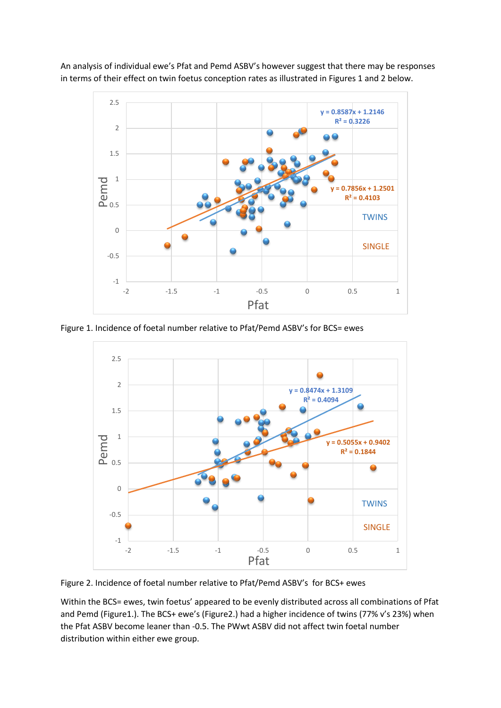An analysis of individual ewe's Pfat and Pemd ASBV's however suggest that there may be responses in terms of their effect on twin foetus conception rates as illustrated in Figures 1 and 2 below.



Figure 1. Incidence of foetal number relative to Pfat/Pemd ASBV's for BCS= ewes



Figure 2. Incidence of foetal number relative to Pfat/Pemd ASBV's for BCS+ ewes

Within the BCS= ewes, twin foetus' appeared to be evenly distributed across all combinations of Pfat and Pemd (Figure1.). The BCS+ ewe's (Figure2.) had a higher incidence of twins (77% v's 23%) when the Pfat ASBV become leaner than -0.5. The PWwt ASBV did not affect twin foetal number distribution within either ewe group.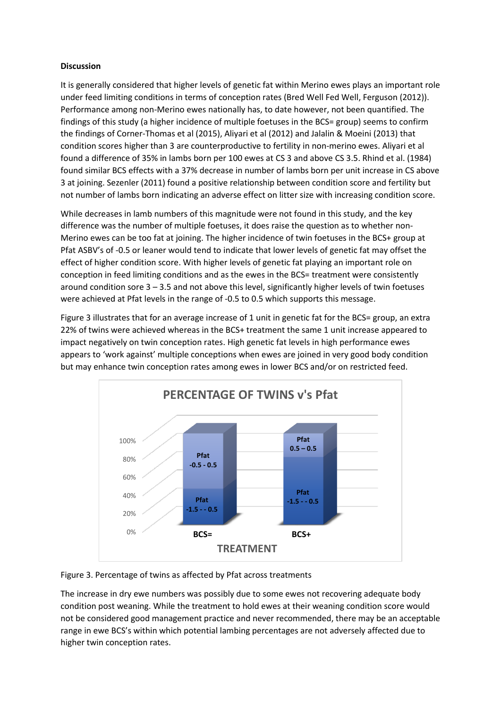## **Discussion**

It is generally considered that higher levels of genetic fat within Merino ewes plays an important role under feed limiting conditions in terms of conception rates (Bred Well Fed Well, Ferguson (2012)). Performance among non-Merino ewes nationally has, to date however, not been quantified. The findings of this study (a higher incidence of multiple foetuses in the BCS= group) seems to confirm the findings of Corner-Thomas et al (2015), Aliyari et al (2012) and Jalalin & Moeini (2013) that condition scores higher than 3 are counterproductive to fertility in non-merino ewes. Aliyari et al found a difference of 35% in lambs born per 100 ewes at CS 3 and above CS 3.5. Rhind et al. (1984) found similar BCS effects with a 37% decrease in number of lambs born per unit increase in CS above 3 at joining. Sezenler (2011) found a positive relationship between condition score and fertility but not number of lambs born indicating an adverse effect on litter size with increasing condition score.

While decreases in lamb numbers of this magnitude were not found in this study, and the key difference was the number of multiple foetuses, it does raise the question as to whether non-Merino ewes can be too fat at joining. The higher incidence of twin foetuses in the BCS+ group at Pfat ASBV's of -0.5 or leaner would tend to indicate that lower levels of genetic fat may offset the effect of higher condition score. With higher levels of genetic fat playing an important role on conception in feed limiting conditions and as the ewes in the BCS= treatment were consistently around condition sore 3 – 3.5 and not above this level, significantly higher levels of twin foetuses were achieved at Pfat levels in the range of -0.5 to 0.5 which supports this message.

Figure 3 illustrates that for an average increase of 1 unit in genetic fat for the BCS= group, an extra 22% of twins were achieved whereas in the BCS+ treatment the same 1 unit increase appeared to impact negatively on twin conception rates. High genetic fat levels in high performance ewes appears to 'work against' multiple conceptions when ewes are joined in very good body condition but may enhance twin conception rates among ewes in lower BCS and/or on restricted feed.



Figure 3. Percentage of twins as affected by Pfat across treatments

The increase in dry ewe numbers was possibly due to some ewes not recovering adequate body condition post weaning. While the treatment to hold ewes at their weaning condition score would not be considered good management practice and never recommended, there may be an acceptable range in ewe BCS's within which potential lambing percentages are not adversely affected due to higher twin conception rates.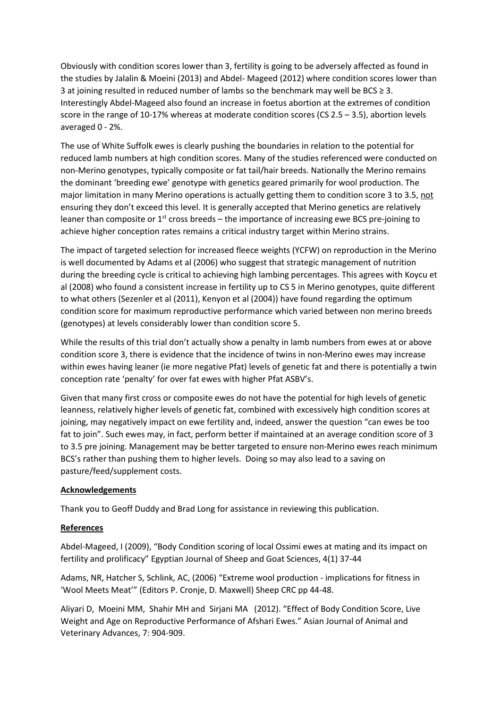Obviously with condition scores lower than 3, fertility is going to be adversely affected as found in the studies by Jalalin & Moeini (2013) and Abdel- Mageed (2012) where condition scores lower than 3 at joining resulted in reduced number of lambs so the benchmark may well be BCS ≥ 3. Interestingly Abdel-Mageed also found an increase in foetus abortion at the extremes of condition score in the range of 10-17% whereas at moderate condition scores (CS 2.5 – 3.5), abortion levels averaged 0 - 2%.

The use of White Suffolk ewes is clearly pushing the boundaries in relation to the potential for reduced lamb numbers at high condition scores. Many of the studies referenced were conducted on non-Merino genotypes, typically composite or fat tail/hair breeds. Nationally the Merino remains the dominant 'breeding ewe' genotype with genetics geared primarily for wool production. The major limitation in many Merino operations is actually getting them to condition score 3 to 3.5, not ensuring they don't exceed this level. It is generally accepted that Merino genetics are relatively leaner than composite or  $1^{st}$  cross breeds – the importance of increasing ewe BCS pre-joining to achieve higher conception rates remains a critical industry target within Merino strains.

The impact of targeted selection for increased fleece weights (YCFW) on reproduction in the Merino is well documented by Adams et al (2006) who suggest that strategic management of nutrition during the breeding cycle is critical to achieving high lambing percentages. This agrees with Koycu et al (2008) who found a consistent increase in fertility up to CS 5 in Merino genotypes, quite different to what others (Sezenler et al (2011), Kenyon et al (2004)) have found regarding the optimum condition score for maximum reproductive performance which varied between non merino breeds (genotypes) at levels considerably lower than condition score 5.

While the results of this trial don't actually show a penalty in lamb numbers from ewes at or above condition score 3, there is evidence that the incidence of twins in non-Merino ewes may increase within ewes having leaner (ie more negative Pfat) levels of genetic fat and there is potentially a twin conception rate 'penalty' for over fat ewes with higher Pfat ASBV's.

Given that many first cross or composite ewes do not have the potential for high levels of genetic leanness, relatively higher levels of genetic fat, combined with excessively high condition scores at joining, may negatively impact on ewe fertility and, indeed, answer the question "can ewes be too fat to join". Such ewes may, in fact, perform better if maintained at an average condition score of 3 to 3.5 pre joining. Management may be better targeted to ensure non-Merino ewes reach minimum BCS's rather than pushing them to higher levels. Doing so may also lead to a saving on pasture/feed/supplement costs.

## **Acknowledgements**

Thank you to Geoff Duddy and Brad Long for assistance in reviewing this publication.

## **References**

Abdel-Mageed, I (2009), "Body Condition scoring of local Ossimi ewes at mating and its impact on fertility and prolificacy" Egyptian Journal of Sheep and Goat Sciences, 4(1) 37-44

Adams, NR, Hatcher S, Schlink, AC, (2006) "Extreme wool production - implications for fitness in 'Wool Meets Meat'" (Editors P. Cronje, D. Maxwell) Sheep CRC pp 44-48.

Aliyari D, Moeini MM, Shahir MH and Sirjani MA (2012). "Effect of Body Condition Score, Live Weight and Age on Reproductive Performance of Afshari Ewes." Asian Journal of Animal and Veterinary Advances, 7: 904-909.